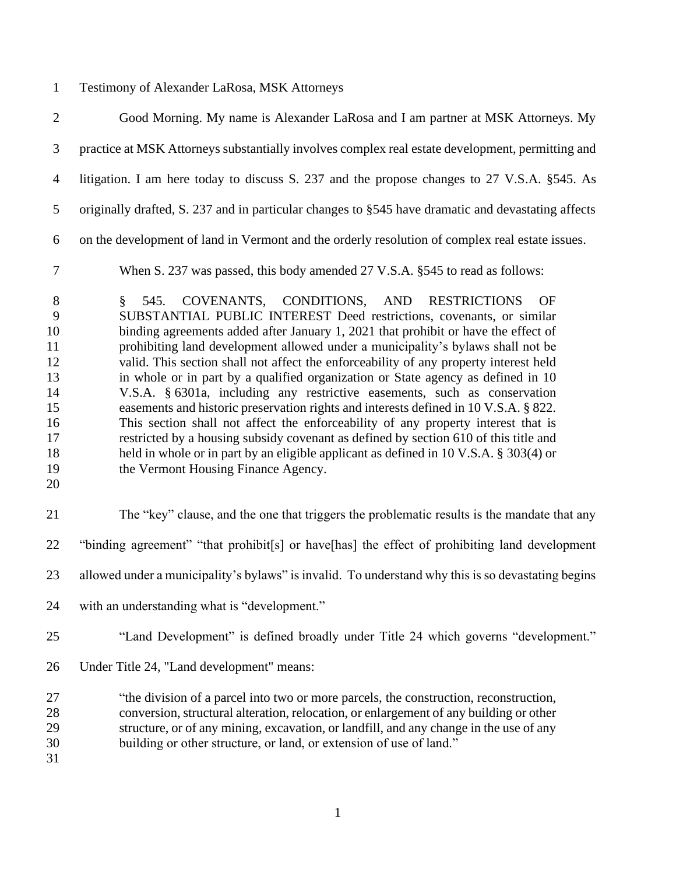## Testimony of Alexander LaRosa, MSK Attorneys

| $\overline{2}$                                                                        | Good Morning. My name is Alexander LaRosa and I am partner at MSK Attorneys. My                                                                                                                                                                                                                                                                                                                                                                                                                                                                                                                                                                                                                                                                                                                                                                                                                                                                                               |
|---------------------------------------------------------------------------------------|-------------------------------------------------------------------------------------------------------------------------------------------------------------------------------------------------------------------------------------------------------------------------------------------------------------------------------------------------------------------------------------------------------------------------------------------------------------------------------------------------------------------------------------------------------------------------------------------------------------------------------------------------------------------------------------------------------------------------------------------------------------------------------------------------------------------------------------------------------------------------------------------------------------------------------------------------------------------------------|
| $\mathfrak{Z}$                                                                        | practice at MSK Attorneys substantially involves complex real estate development, permitting and                                                                                                                                                                                                                                                                                                                                                                                                                                                                                                                                                                                                                                                                                                                                                                                                                                                                              |
| $\overline{4}$                                                                        | litigation. I am here today to discuss S. 237 and the propose changes to 27 V.S.A. §545. As                                                                                                                                                                                                                                                                                                                                                                                                                                                                                                                                                                                                                                                                                                                                                                                                                                                                                   |
| 5                                                                                     | originally drafted, S. 237 and in particular changes to §545 have dramatic and devastating affects                                                                                                                                                                                                                                                                                                                                                                                                                                                                                                                                                                                                                                                                                                                                                                                                                                                                            |
| 6                                                                                     | on the development of land in Vermont and the orderly resolution of complex real estate issues.                                                                                                                                                                                                                                                                                                                                                                                                                                                                                                                                                                                                                                                                                                                                                                                                                                                                               |
| $\tau$                                                                                | When S. 237 was passed, this body amended 27 V.S.A. §545 to read as follows:                                                                                                                                                                                                                                                                                                                                                                                                                                                                                                                                                                                                                                                                                                                                                                                                                                                                                                  |
| $8\phantom{1}$<br>9<br>10<br>11<br>12<br>13<br>14<br>15<br>16<br>17<br>18<br>19<br>20 | COVENANTS, CONDITIONS, AND RESTRICTIONS<br>$\S$<br>545.<br>OF<br>SUBSTANTIAL PUBLIC INTEREST Deed restrictions, covenants, or similar<br>binding agreements added after January 1, 2021 that prohibit or have the effect of<br>prohibiting land development allowed under a municipality's bylaws shall not be<br>valid. This section shall not affect the enforceability of any property interest held<br>in whole or in part by a qualified organization or State agency as defined in 10<br>V.S.A. § 6301a, including any restrictive easements, such as conservation<br>easements and historic preservation rights and interests defined in 10 V.S.A. § 822.<br>This section shall not affect the enforceability of any property interest that is<br>restricted by a housing subsidy covenant as defined by section 610 of this title and<br>held in whole or in part by an eligible applicant as defined in 10 V.S.A. § 303(4) or<br>the Vermont Housing Finance Agency. |
| 21                                                                                    | The "key" clause, and the one that triggers the problematic results is the mandate that any                                                                                                                                                                                                                                                                                                                                                                                                                                                                                                                                                                                                                                                                                                                                                                                                                                                                                   |
| 22                                                                                    | "binding agreement" "that prohibit[s] or have[has] the effect of prohibiting land development                                                                                                                                                                                                                                                                                                                                                                                                                                                                                                                                                                                                                                                                                                                                                                                                                                                                                 |
| 23                                                                                    | allowed under a municipality's bylaws" is invalid. To understand why this is so devastating begins                                                                                                                                                                                                                                                                                                                                                                                                                                                                                                                                                                                                                                                                                                                                                                                                                                                                            |
| 24                                                                                    | with an understanding what is "development."                                                                                                                                                                                                                                                                                                                                                                                                                                                                                                                                                                                                                                                                                                                                                                                                                                                                                                                                  |
| 25                                                                                    | "Land Development" is defined broadly under Title 24 which governs "development."                                                                                                                                                                                                                                                                                                                                                                                                                                                                                                                                                                                                                                                                                                                                                                                                                                                                                             |
| 26                                                                                    | Under Title 24, "Land development" means:                                                                                                                                                                                                                                                                                                                                                                                                                                                                                                                                                                                                                                                                                                                                                                                                                                                                                                                                     |
| 27<br>28<br>29<br>30<br>31                                                            | "the division of a parcel into two or more parcels, the construction, reconstruction,<br>conversion, structural alteration, relocation, or enlargement of any building or other<br>structure, or of any mining, excavation, or landfill, and any change in the use of any<br>building or other structure, or land, or extension of use of land."                                                                                                                                                                                                                                                                                                                                                                                                                                                                                                                                                                                                                              |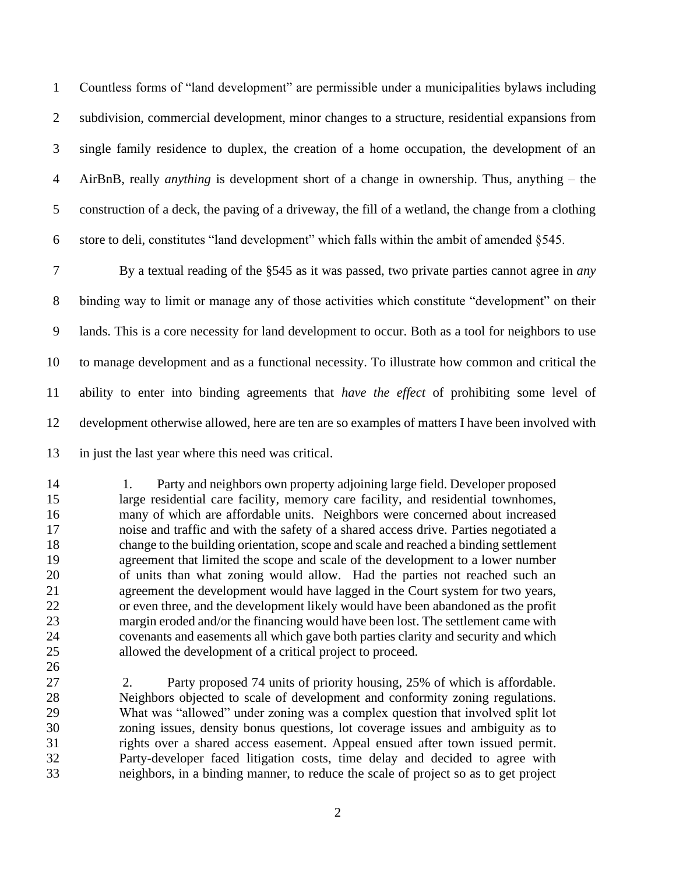Countless forms of "land development" are permissible under a municipalities bylaws including subdivision, commercial development, minor changes to a structure, residential expansions from single family residence to duplex, the creation of a home occupation, the development of an AirBnB, really *anything* is development short of a change in ownership. Thus, anything – the construction of a deck, the paving of a driveway, the fill of a wetland, the change from a clothing store to deli, constitutes "land development" which falls within the ambit of amended §545.

 By a textual reading of the §545 as it was passed, two private parties cannot agree in *any* binding way to limit or manage any of those activities which constitute "development" on their lands. This is a core necessity for land development to occur. Both as a tool for neighbors to use to manage development and as a functional necessity. To illustrate how common and critical the ability to enter into binding agreements that *have the effect* of prohibiting some level of development otherwise allowed, here are ten are so examples of matters I have been involved with in just the last year where this need was critical.

 1. Party and neighbors own property adjoining large field. Developer proposed large residential care facility, memory care facility, and residential townhomes, many of which are affordable units. Neighbors were concerned about increased noise and traffic and with the safety of a shared access drive. Parties negotiated a change to the building orientation, scope and scale and reached a binding settlement agreement that limited the scope and scale of the development to a lower number of units than what zoning would allow. Had the parties not reached such an agreement the development would have lagged in the Court system for two years, or even three, and the development likely would have been abandoned as the profit margin eroded and/or the financing would have been lost. The settlement came with covenants and easements all which gave both parties clarity and security and which allowed the development of a critical project to proceed.

 2. Party proposed 74 units of priority housing, 25% of which is affordable. Neighbors objected to scale of development and conformity zoning regulations. What was "allowed" under zoning was a complex question that involved split lot zoning issues, density bonus questions, lot coverage issues and ambiguity as to rights over a shared access easement. Appeal ensued after town issued permit. Party-developer faced litigation costs, time delay and decided to agree with neighbors, in a binding manner, to reduce the scale of project so as to get project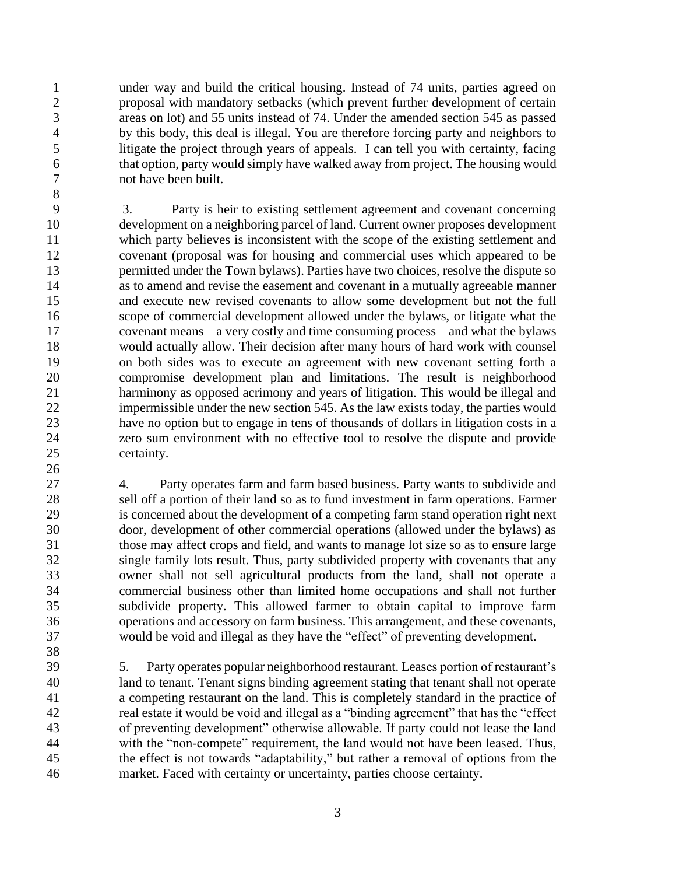under way and build the critical housing. Instead of 74 units, parties agreed on proposal with mandatory setbacks (which prevent further development of certain areas on lot) and 55 units instead of 74. Under the amended section 545 as passed by this body, this deal is illegal. You are therefore forcing party and neighbors to litigate the project through years of appeals. I can tell you with certainty, facing that option, party would simply have walked away from project. The housing would not have been built.

 3. Party is heir to existing settlement agreement and covenant concerning development on a neighboring parcel of land. Current owner proposes development which party believes is inconsistent with the scope of the existing settlement and covenant (proposal was for housing and commercial uses which appeared to be permitted under the Town bylaws). Parties have two choices, resolve the dispute so as to amend and revise the easement and covenant in a mutually agreeable manner and execute new revised covenants to allow some development but not the full scope of commercial development allowed under the bylaws, or litigate what the covenant means – a very costly and time consuming process – and what the bylaws would actually allow. Their decision after many hours of hard work with counsel on both sides was to execute an agreement with new covenant setting forth a compromise development plan and limitations. The result is neighborhood harminony as opposed acrimony and years of litigation. This would be illegal and impermissible under the new section 545. As the law exists today, the parties would have no option but to engage in tens of thousands of dollars in litigation costs in a zero sum environment with no effective tool to resolve the dispute and provide certainty.

 4. Party operates farm and farm based business. Party wants to subdivide and sell off a portion of their land so as to fund investment in farm operations. Farmer is concerned about the development of a competing farm stand operation right next door, development of other commercial operations (allowed under the bylaws) as those may affect crops and field, and wants to manage lot size so as to ensure large single family lots result. Thus, party subdivided property with covenants that any owner shall not sell agricultural products from the land, shall not operate a commercial business other than limited home occupations and shall not further subdivide property. This allowed farmer to obtain capital to improve farm operations and accessory on farm business. This arrangement, and these covenants, would be void and illegal as they have the "effect" of preventing development.

 5. Party operates popular neighborhood restaurant. Leases portion of restaurant's land to tenant. Tenant signs binding agreement stating that tenant shall not operate a competing restaurant on the land. This is completely standard in the practice of real estate it would be void and illegal as a "binding agreement" that has the "effect of preventing development" otherwise allowable. If party could not lease the land with the "non-compete" requirement, the land would not have been leased. Thus, the effect is not towards "adaptability," but rather a removal of options from the market. Faced with certainty or uncertainty, parties choose certainty.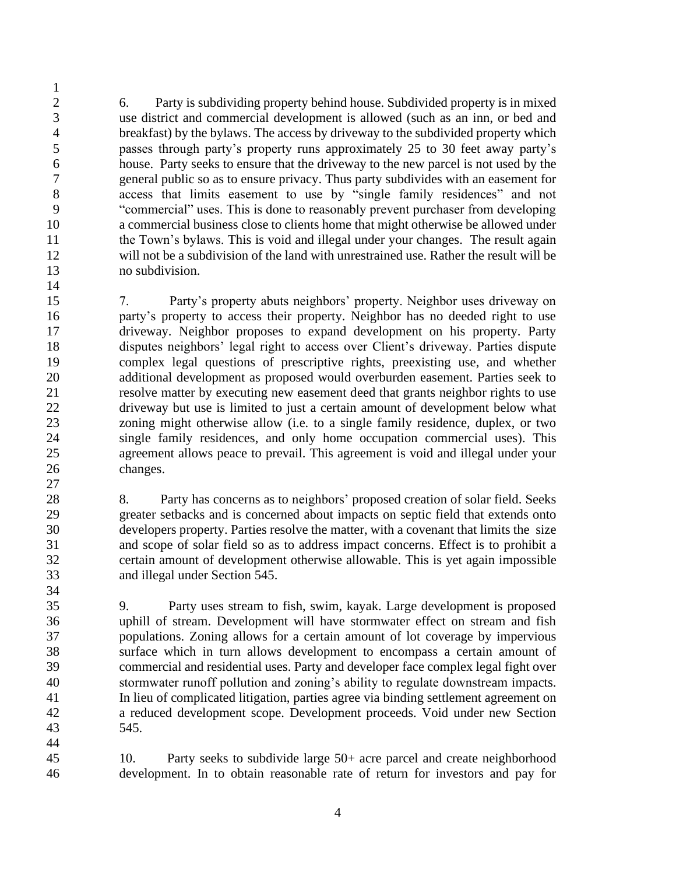6. Party is subdividing property behind house. Subdivided property is in mixed use district and commercial development is allowed (such as an inn, or bed and breakfast) by the bylaws. The access by driveway to the subdivided property which passes through party's property runs approximately 25 to 30 feet away party's house. Party seeks to ensure that the driveway to the new parcel is not used by the general public so as to ensure privacy. Thus party subdivides with an easement for access that limits easement to use by "single family residences" and not "commercial" uses. This is done to reasonably prevent purchaser from developing a commercial business close to clients home that might otherwise be allowed under the Town's bylaws. This is void and illegal under your changes. The result again will not be a subdivision of the land with unrestrained use. Rather the result will be no subdivision.

 7. Party's property abuts neighbors' property. Neighbor uses driveway on party's property to access their property. Neighbor has no deeded right to use driveway. Neighbor proposes to expand development on his property. Party disputes neighbors' legal right to access over Client's driveway. Parties dispute complex legal questions of prescriptive rights, preexisting use, and whether additional development as proposed would overburden easement. Parties seek to resolve matter by executing new easement deed that grants neighbor rights to use driveway but use is limited to just a certain amount of development below what zoning might otherwise allow (i.e. to a single family residence, duplex, or two single family residences, and only home occupation commercial uses). This agreement allows peace to prevail. This agreement is void and illegal under your changes. 

 8. Party has concerns as to neighbors' proposed creation of solar field. Seeks greater setbacks and is concerned about impacts on septic field that extends onto developers property. Parties resolve the matter, with a covenant that limits the size and scope of solar field so as to address impact concerns. Effect is to prohibit a certain amount of development otherwise allowable. This is yet again impossible and illegal under Section 545.

 9. Party uses stream to fish, swim, kayak. Large development is proposed uphill of stream. Development will have stormwater effect on stream and fish populations. Zoning allows for a certain amount of lot coverage by impervious surface which in turn allows development to encompass a certain amount of commercial and residential uses. Party and developer face complex legal fight over stormwater runoff pollution and zoning's ability to regulate downstream impacts. In lieu of complicated litigation, parties agree via binding settlement agreement on a reduced development scope. Development proceeds. Void under new Section 545.

 10. Party seeks to subdivide large 50+ acre parcel and create neighborhood development. In to obtain reasonable rate of return for investors and pay for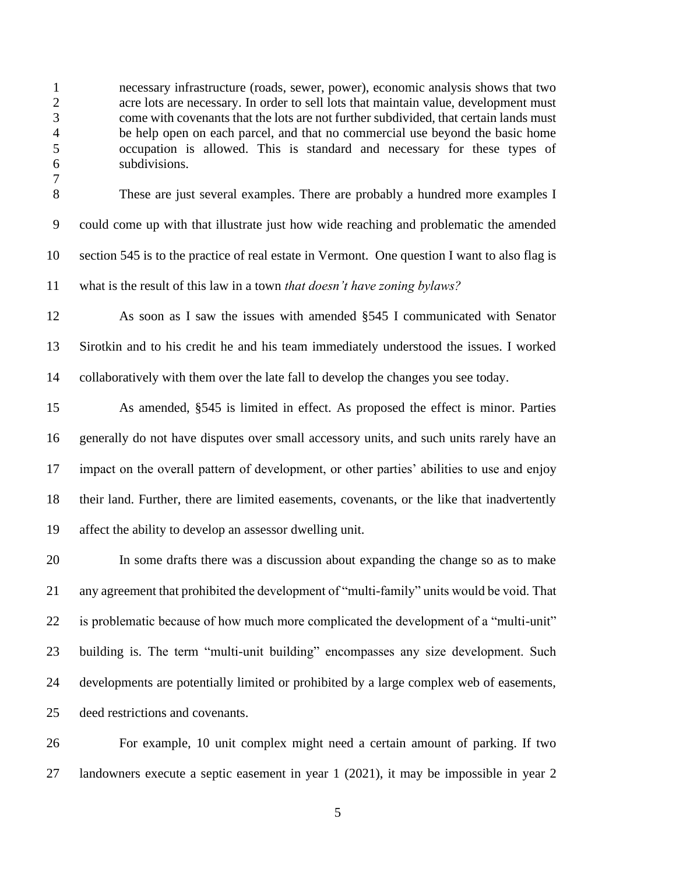necessary infrastructure (roads, sewer, power), economic analysis shows that two acre lots are necessary. In order to sell lots that maintain value, development must come with covenants that the lots are not further subdivided, that certain lands must be help open on each parcel, and that no commercial use beyond the basic home occupation is allowed. This is standard and necessary for these types of subdivisions.

 These are just several examples. There are probably a hundred more examples I could come up with that illustrate just how wide reaching and problematic the amended section 545 is to the practice of real estate in Vermont. One question I want to also flag is what is the result of this law in a town *that doesn't have zoning bylaws?* 

 As soon as I saw the issues with amended §545 I communicated with Senator Sirotkin and to his credit he and his team immediately understood the issues. I worked collaboratively with them over the late fall to develop the changes you see today.

 As amended, §545 is limited in effect. As proposed the effect is minor. Parties generally do not have disputes over small accessory units, and such units rarely have an impact on the overall pattern of development, or other parties' abilities to use and enjoy their land. Further, there are limited easements, covenants, or the like that inadvertently affect the ability to develop an assessor dwelling unit.

 In some drafts there was a discussion about expanding the change so as to make any agreement that prohibited the development of "multi-family" units would be void. That is problematic because of how much more complicated the development of a "multi-unit" building is. The term "multi-unit building" encompasses any size development. Such developments are potentially limited or prohibited by a large complex web of easements, deed restrictions and covenants.

 For example, 10 unit complex might need a certain amount of parking. If two landowners execute a septic easement in year 1 (2021), it may be impossible in year 2